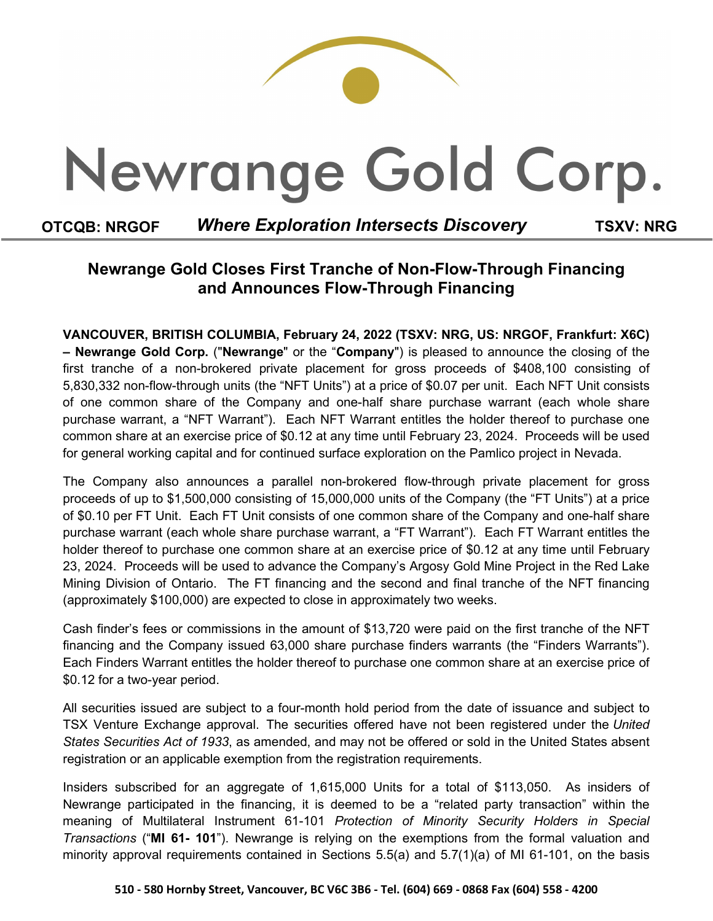# Newrange Gold Corp.

### **OTCQB: NRGOF** *Where Exploration Intersects Discovery* **TSXV: NRG**

## **Newrange Gold Closes First Tranche of Non-Flow-Through Financing and Announces Flow-Through Financing**

**VANCOUVER, BRITISH COLUMBIA, February 24, 2022 (TSXV: NRG, US: NRGOF, Frankfurt: X6C) – Newrange Gold Corp.** ("**Newrange**" or the "**Company**") is pleased to announce the closing of the first tranche of a non-brokered private placement for gross proceeds of \$408,100 consisting of 5,830,332 non-flow-through units (the "NFT Units") at a price of \$0.07 per unit. Each NFT Unit consists of one common share of the Company and one-half share purchase warrant (each whole share purchase warrant, a "NFT Warrant"). Each NFT Warrant entitles the holder thereof to purchase one common share at an exercise price of \$0.12 at any time until February 23, 2024. Proceeds will be used for general working capital and for continued surface exploration on the Pamlico project in Nevada.

The Company also announces a parallel non-brokered flow-through private placement for gross proceeds of up to \$1,500,000 consisting of 15,000,000 units of the Company (the "FT Units") at a price of \$0.10 per FT Unit. Each FT Unit consists of one common share of the Company and one-half share purchase warrant (each whole share purchase warrant, a "FT Warrant"). Each FT Warrant entitles the holder thereof to purchase one common share at an exercise price of \$0.12 at any time until February 23, 2024. Proceeds will be used to advance the Company's Argosy Gold Mine Project in the Red Lake Mining Division of Ontario. The FT financing and the second and final tranche of the NFT financing (approximately \$100,000) are expected to close in approximately two weeks.

Cash finder's fees or commissions in the amount of \$13,720 were paid on the first tranche of the NFT financing and the Company issued 63,000 share purchase finders warrants (the "Finders Warrants"). Each Finders Warrant entitles the holder thereof to purchase one common share at an exercise price of \$0.12 for a two-year period.

All securities issued are subject to a four-month hold period from the date of issuance and subject to TSX Venture Exchange approval. The securities offered have not been registered under the *United States Securities Act of 1933*, as amended, and may not be offered or sold in the United States absent registration or an applicable exemption from the registration requirements.

Insiders subscribed for an aggregate of 1,615,000 Units for a total of \$113,050. As insiders of Newrange participated in the financing, it is deemed to be a "related party transaction" within the meaning of Multilateral Instrument 61-101 *Protection of Minority Security Holders in Special Transactions* ("**MI 61- 101**"). Newrange is relying on the exemptions from the formal valuation and minority approval requirements contained in Sections 5.5(a) and 5.7(1)(a) of MI 61-101, on the basis